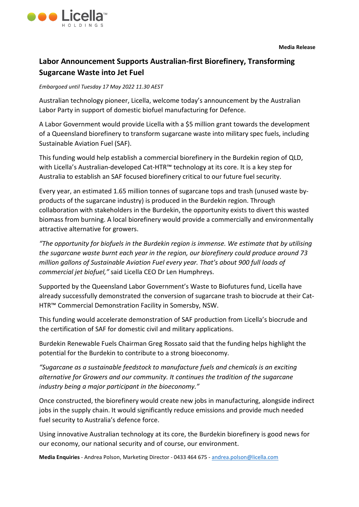

## **Labor Announcement Supports Australian-first Biorefinery, Transforming Sugarcane Waste into Jet Fuel**

## *Embargoed until Tuesday 17 May 2022 11.30 AEST*

Australian technology pioneer, Licella, welcome today's announcement by the Australian Labor Party in support of domestic biofuel manufacturing for Defence.

A Labor Government would provide Licella with a \$5 million grant towards the development of a Queensland biorefinery to transform sugarcane waste into military spec fuels, including Sustainable Aviation Fuel (SAF).

This funding would help establish a commercial biorefinery in the Burdekin region of QLD, with Licella's Australian-developed Cat-HTR™ technology at its core. It is a key step for Australia to establish an SAF focused biorefinery critical to our future fuel security.

Every year, an estimated 1.65 million tonnes of sugarcane tops and trash (unused waste byproducts of the sugarcane industry) is produced in the Burdekin region. Through collaboration with stakeholders in the Burdekin, the opportunity exists to divert this wasted biomass from burning. A local biorefinery would provide a commercially and environmentally attractive alternative for growers.

*"The opportunity for biofuels in the Burdekin region is immense. We estimate that by utilising the sugarcane waste burnt each year in the region, our biorefinery could produce around 73 million gallons of Sustainable Aviation Fuel every year. That's about 900 full loads of commercial jet biofuel,"* said Licella CEO Dr Len Humphreys.

Supported by the Queensland Labor Government's Waste to Biofutures fund, Licella have already successfully demonstrated the conversion of sugarcane trash to biocrude at their Cat-HTR™ Commercial Demonstration Facility in Somersby, NSW.

This funding would accelerate demonstration of SAF production from Licella's biocrude and the certification of SAF for domestic civil and military applications.

Burdekin Renewable Fuels Chairman Greg Rossato said that the funding helps highlight the potential for the Burdekin to contribute to a strong bioeconomy.

*"Sugarcane as a sustainable feedstock to manufacture fuels and chemicals is an exciting alternative for Growers and our community. It continues the tradition of the sugarcane industry being a major participant in the bioeconomy."*

Once constructed, the biorefinery would create new jobs in manufacturing, alongside indirect jobs in the supply chain. It would significantly reduce emissions and provide much needed fuel security to Australia's defence force.

Using innovative Australian technology at its core, the Burdekin biorefinery is good news for our economy, our national security and of course, our environment.

**Media Enquiries** - Andrea Polson, Marketing Director - 0433 464 675 - [andrea.polson@licella.com](mailto:andrea.polson@licella.com)